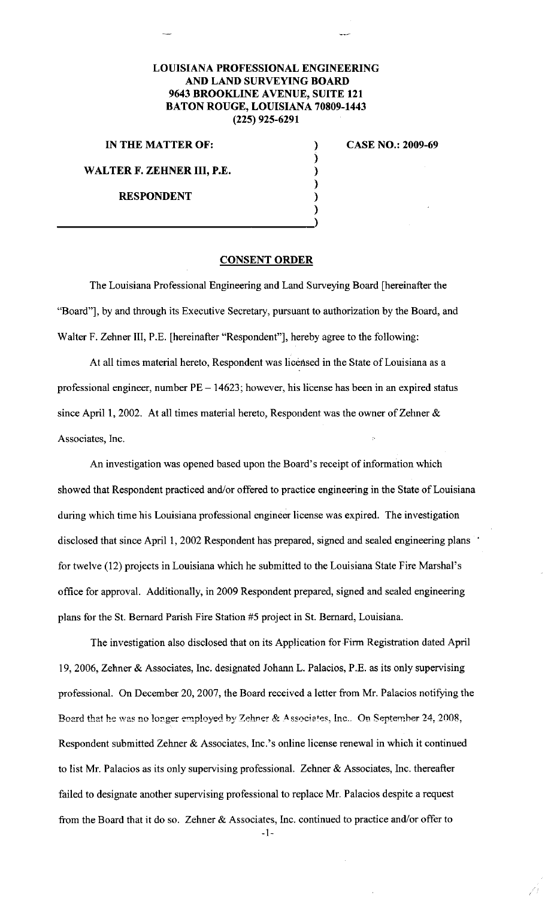## **LOUISIANA PROFESSIONAL ENGINEERING AND LAND SURVEYING BOARD 9643 BROOKLINE AVENUE, SUITE 121 BATON ROUGE, LOUISIANA 70809-1443 (225) 925-6291**

) ) ) ) ) )

**IN THE MATTER OF:** 

**CASE NO.: 2009-69** 

**WALTER F. ZEHNER III, P.E.** 

**RESPONDENT** 

 $\frac{1}{\lambda}$ 

## **CONSENT ORDER**

The Louisiana Professional Engineering and Land Surveying Board [hereinafter the "Board"], by and through its Executive Secretary, pursuant to authorization by the Board, and Walter F. Zehner III, P.E. [hereinafter "Respondent"], hereby agree to the following:

At all times material hereto, Respondent was licensed in the State of Louisiana as a professional engineer, number PE- 14623; however, his license has been in an expired status since April 1, 2002. At all times material hereto, Respondent was the owner of Zehner & Associates, Inc.

An investigation was opened based upon the Board's receipt of information which showed that Respondent practiced and/or offered to practice engineering in the State of Louisiana during which time his Louisiana professional engineer license was expired. The investigation disclosed that since April 1, 2002 Respondent has prepared, signed and sealed engineering plans for twelve (12) projects in Louisiana which he submitted to the Louisiana State Fire Marshal's office for approval. Additionally, in 2009 Respondent prepared, signed and sealed engineering plans for the St. Bernard Parish Fire Station #5 project in St. Bernard, Louisiana.

The investigation also disclosed that on its Application for Firm Registration dated April 19, 2006, Zehner & Associates, Inc. designated Johann L. Palacios, P.E. as its only supervising professional. On December 20, 2007, the Board received a letter from Mr. Palacios notifying the **Board that he was no longer employed by Zehner & Associates, Inc.. On September 24, 2008,** Respondent submitted Zehner & Associates, Inc.'s online license renewal in which it continued to list Mr. Palacios as its only supervising professional. Zehner & Associates, Inc. thereafter failed to designate another supervising professional to replace Mr. Palacios despite a request from the Board that it do so. Zehner & Associates, Inc. continued to practice and/or offer to

-1-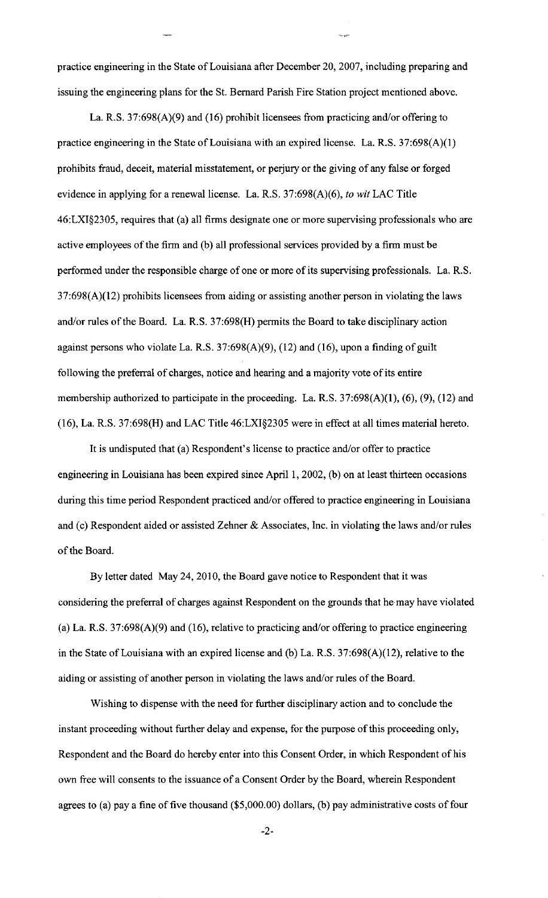practice engineering in the State of Louisiana after December 20, 2007, including preparing and issuing the engineering plans for the St. Bernard Parish Fire Station project mentioned above.

La. R.S. 37:698(A)(9) and (16) prohibit licensees from practicing and/or offering to practice engineering in the State of Louisiana with an expired license. La. R.S. 37:698(A)(l) prohibits fraud, deceit, material misstatement, or perjury or the giving of any false or forged evidence in applying for a renewal license. La. R.S. 37:698(A)(6), *to wit* LAC Title 46:LXI§2305, requires that (a) all firms designate one or more supervising professionals who are active employees of the firm and (b) all professional services provided by a firm must be performed under the responsible charge of one or more of its supervising professionals. La. R.S. 37:698(A)(12) prohibits licensees from aiding or assisting another person in violating the laws and/or rules of the Board. La. R.S. 37:698(H) permits the Board to take disciplinary action against persons who violate La. R.S.  $37:698(A)(9)$ ,  $(12)$  and  $(16)$ , upon a finding of guilt following the preferral of charges, notice and hearing and a majority vote of its entire membership authorized to participate in the proceeding. La. R.S. 37:698(A)(1), (6), (9), (12) and (16), La. R.S. 37:698(H) and LAC Title 46:LX1§2305 were in effect at all times material hereto.

It is undisputed that (a) Respondent's license to practice and/or offer to practice engineering in Louisiana has been expired since April I, 2002, (b) on at least thirteen occasions during this time period Respondent practiced and/or offered to practice engineering in Louisiana and (c) Respondent aided or assisted Zehner & Associates, Inc. in violating the laws and/or rules of the Board.

By letter dated May 24,2010, the Board gave notice to Respondent that it was considering the preferral of charges against Respondent on the grounds that he may have violated (a) La. R.S. 37:698(A)(9) and (16), relative to practicing and/or offering to practice engineering in the State of Louisiana with an expired license and (b) La. R.S. 37:698(A)(12), relative to the aiding or assisting of another person in violating the laws and/or rules of the Board.

Wishing to dispense with the need for further disciplinary action and to conclude the instant proceeding without further delay and expense, for the purpose of this proceeding only, Respondent and the Board do hereby enter into this Consent Order, in which Respondent of his own free will consents to the issuance of a Consent Order by the Board, wherein Respondent agrees to (a) pay a fine of five thousand  $(\$5,000.00)$  dollars, (b) pay administrative costs of four

-2-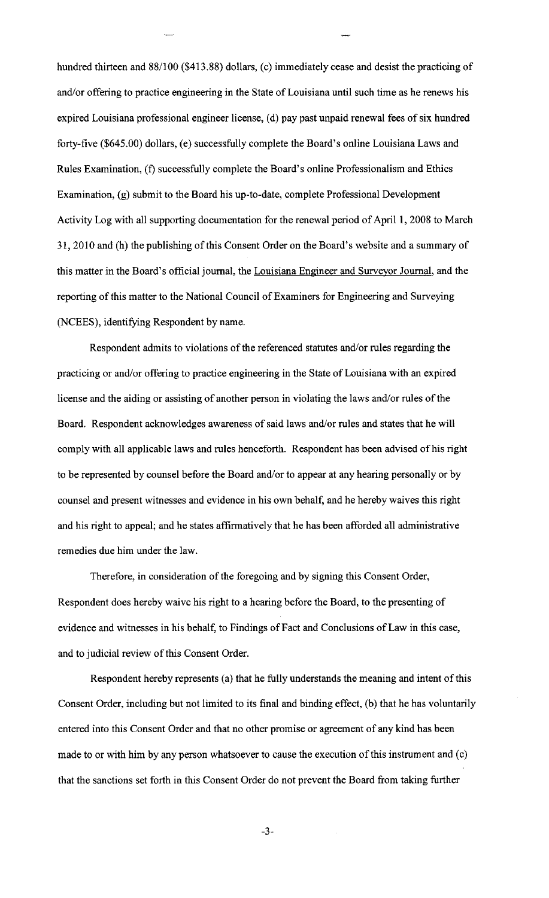hundred thirteen and 88/100 (\$413.88) dollars, (c) immediately cease and desist the practicing of and/or offering to practice engineering in the State of Louisiana until such time as he renews his expired Louisiana professional engineer license, (d) pay past unpaid renewal fees of six hundred forty-five (\$645.00) dollars, (e) successfully complete the Board's online Louisiana Laws and Rules Examination, (f) successfully complete the Board's online Professionalism and Ethics Examination, (g) submit to the Board his up-to-date, complete Professional Development Activity Log with all supporting documentation for the renewal period of April 1, 2008 to March 31, 2010 and (h) the publishing of this Consent Order on the Board's website and a summary of this matter in the Board's official journal, the Louisiana Engineer and Surveyor Journal, and the reporting of this matter to the National Council of Examiners for Engineering and Surveying (NCEES), identifying Respondent by name.

Respondent admits to violations of the referenced statutes and/or rules regarding the practicing or and/or offering to practice engineering in the State of Louisiana with an expired license and the aiding or assisting of another person in violating the laws and/or rules of the Board. Respondent acknowledges awareness of said laws and/or rules and states that he will comply with all applicable laws and rules henceforth. Respondent has been advised of his right to be represented by counsel before the Board and/or to appear at any hearing personally or by counsel and present witnesses and evidence in his own behalf, and he hereby waives this right and his right to appeal; and he states affirmatively that he has been afforded all administrative remedies due him under the law.

Therefore, in consideration of the foregoing and by signing this Consent Order, Respondent does hereby waive his right to a hearing before the Board, to the presenting of evidence and witnesses in his behalf, to Findings of Fact and Conclusions of Law in this case, and to judicial review of this Consent Order.

Respondent hereby represents (a) that he fully understands the meaning and intent of this Consent Order, including but not limited to its final and binding effect, (b) that he has voluntarily entered into this Consent Order and that no other promise or agreement of any kind has been made to or with him by any person whatsoever to cause the execution of this instrument and (c) that the sanctions set forth in this Consent Order do not prevent the Board from taking further

-3-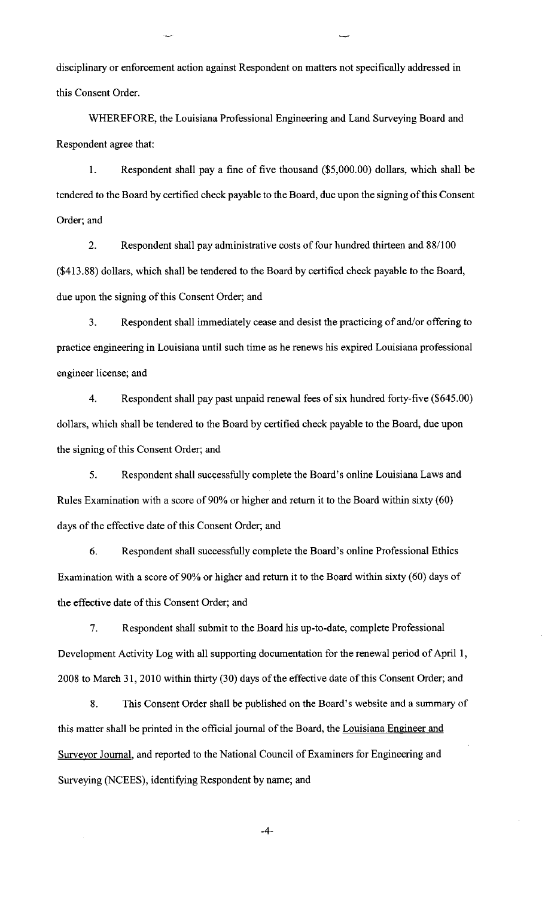disciplinary or enforcement action against Respondent on matters not specifically addressed in this Consent Order.

WHEREFORE, the Louisiana Professional Engineering and Land Surveying Board and Respondent agree that:

I. Respondent shall pay a fine of five thousand (\$5,000.00) dollars, which shall be tendered to the Board by certified check payable to the Board, due upon the signing of this Consent Order; and

2. Respondent shall pay administrative costs of four hundred thirteen and 88/100 (\$413.88) dollars, which shall be tendered to the Board by certified check payable to the Board, due upon the signing of this Consent Order; and

3. Respondent shall immediately cease and desist the practicing of and/or offering to practice engineering in Louisiana until such time as he renews his expired Louisiana professional engineer license; and

4. Respondent shall pay past unpaid renewal fees of six hundred forty-five (\$645.00) dollars, which shall be tendered to the Board by certified check payable to the Board, due upon the signing of this Consent Order; and

5. Respondent shall successfully complete the Board's online Louisiana Laws and Rules Examination with a score of 90% or higher and return it to the Board within sixty (60) days of the effective date of this Consent Order; and

6. Respondent shall successfully complete the Board's online Professional Ethics Examination with a score of 90% or higher and return it to the Board within sixty (60) days of the effective date of this Consent Order; and

7. Respondent shall submit to the Board his up-to-date, complete Professional Development Activity Log with all supporting documentation for the renewal period of April 1, 2008 to March 31,2010 within thirty (30) days of the effective date of this Consent Order; and

8. This Consent Order shall be published on the Board's website and a summary of this matter shall be printed in the official journal of the Board, the Louisiana Engineer and Surveyor Journal, and reported to the National Council of Examiners for Engineering and Surveying (NCEES), identifying Respondent by name; and

-4-